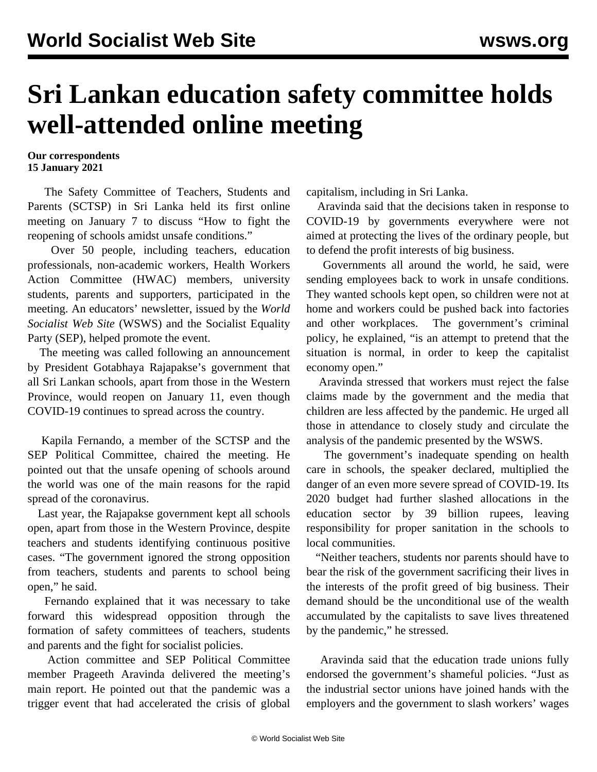## **Sri Lankan education safety committee holds well-attended online meeting**

**Our correspondents 15 January 2021**

 The Safety Committee of Teachers, Students and Parents (SCTSP) in Sri Lanka held its first online meeting on January 7 to discuss "How to fight the reopening of schools amidst unsafe conditions."

 Over 50 people, including teachers, education professionals, non-academic workers, Health Workers Action Committee (HWAC) members, university students, parents and supporters, participated in the meeting. An educators' newsletter, issued by the *World Socialist Web Site* (WSWS) and the Socialist Equality Party (SEP), helped promote the event.

 The meeting was called following an announcement by President Gotabhaya Rajapakse's government that all Sri Lankan schools, apart from those in the Western Province, would reopen on January 11, even though COVID-19 continues to spread across the country.

 Kapila Fernando, a member of the SCTSP and the SEP Political Committee, chaired the meeting. He pointed out that the unsafe opening of schools around the world was one of the main reasons for the rapid spread of the coronavirus.

 Last year, the Rajapakse government kept all schools open, apart from those in the Western Province, despite teachers and students identifying continuous positive cases. "The government ignored the strong opposition from teachers, students and parents to school being open," he said.

 Fernando explained that it was necessary to take forward this widespread opposition through the formation of safety committees of teachers, students and parents and the fight for socialist policies.

 Action committee and SEP Political Committee member Prageeth Aravinda delivered the meeting's main report. He pointed out that the pandemic was a trigger event that had accelerated the crisis of global capitalism, including in Sri Lanka.

 Aravinda said that the decisions taken in response to COVID-19 by governments everywhere were not aimed at protecting the lives of the ordinary people, but to defend the profit interests of big business.

 Governments all around the world, he said, were sending employees back to work in unsafe conditions. They wanted schools kept open, so children were not at home and workers could be pushed back into factories and other workplaces. The government's criminal policy, he explained, "is an attempt to pretend that the situation is normal, in order to keep the capitalist economy open."

 Aravinda stressed that workers must reject the false claims made by the government and the media that children are less affected by the pandemic. He urged all those in attendance to closely study and circulate the analysis of the pandemic presented by the WSWS.

 The government's inadequate spending on health care in schools, the speaker declared, multiplied the danger of an even more severe spread of COVID-19. Its 2020 budget had further slashed allocations in the education sector by 39 billion rupees, leaving responsibility for proper sanitation in the schools to local communities.

 "Neither teachers, students nor parents should have to bear the risk of the government sacrificing their lives in the interests of the profit greed of big business. Their demand should be the unconditional use of the wealth accumulated by the capitalists to save lives threatened by the pandemic," he stressed.

 Aravinda said that the education trade unions fully endorsed the government's shameful policies. "Just as the industrial sector unions have joined hands with the employers and the government to slash workers' wages